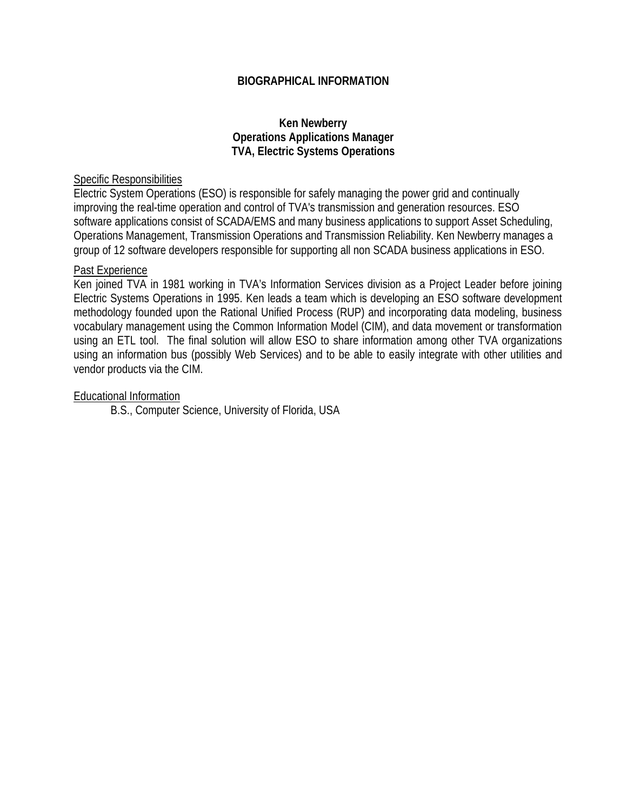### **BIOGRAPHICAL INFORMATION**

#### **Ken Newberry Operations Applications Manager TVA, Electric Systems Operations**

#### Specific Responsibilities

Electric System Operations (ESO) is responsible for safely managing the power grid and continually improving the real-time operation and control of TVA's transmission and generation resources. ESO software applications consist of SCADA/EMS and many business applications to support Asset Scheduling, Operations Management, Transmission Operations and Transmission Reliability. Ken Newberry manages a group of 12 software developers responsible for supporting all non SCADA business applications in ESO.

#### Past Experience

Ken joined TVA in 1981 working in TVA's Information Services division as a Project Leader before joining Electric Systems Operations in 1995. Ken leads a team which is developing an ESO software development methodology founded upon the Rational Unified Process (RUP) and incorporating data modeling, business vocabulary management using the Common Information Model (CIM), and data movement or transformation using an ETL tool. The final solution will allow ESO to share information among other TVA organizations using an information bus (possibly Web Services) and to be able to easily integrate with other utilities and vendor products via the CIM.

#### Educational Information

B.S., Computer Science, University of Florida, USA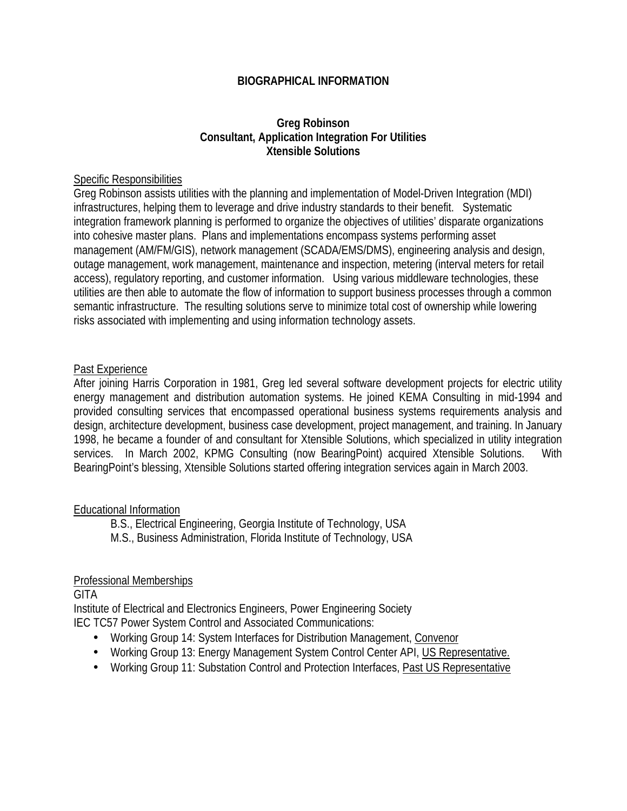## **BIOGRAPHICAL INFORMATION**

## **Greg Robinson Consultant, Application Integration For Utilities Xtensible Solutions**

#### Specific Responsibilities

Greg Robinson assists utilities with the planning and implementation of Model-Driven Integration (MDI) infrastructures, helping them to leverage and drive industry standards to their benefit. Systematic integration framework planning is performed to organize the objectives of utilities' disparate organizations into cohesive master plans. Plans and implementations encompass systems performing asset management (AM/FM/GIS), network management (SCADA/EMS/DMS), engineering analysis and design, outage management, work management, maintenance and inspection, metering (interval meters for retail access), regulatory reporting, and customer information. Using various middleware technologies, these utilities are then able to automate the flow of information to support business processes through a common semantic infrastructure. The resulting solutions serve to minimize total cost of ownership while lowering risks associated with implementing and using information technology assets.

#### Past Experience

After joining Harris Corporation in 1981, Greg led several software development projects for electric utility energy management and distribution automation systems. He joined KEMA Consulting in mid-1994 and provided consulting services that encompassed operational business systems requirements analysis and design, architecture development, business case development, project management, and training. In January 1998, he became a founder of and consultant for Xtensible Solutions, which specialized in utility integration services. In March 2002, KPMG Consulting (now BearingPoint) acquired Xtensible Solutions. With BearingPoint's blessing, Xtensible Solutions started offering integration services again in March 2003.

#### Educational Information

B.S., Electrical Engineering, Georgia Institute of Technology, USA M.S., Business Administration, Florida Institute of Technology, USA

#### Professional Memberships

**GITA** 

Institute of Electrical and Electronics Engineers, Power Engineering Society IEC TC57 Power System Control and Associated Communications:

- Working Group 14: System Interfaces for Distribution Management, Convenor
- Working Group 13: Energy Management System Control Center API, US Representative.
- Working Group 11: Substation Control and Protection Interfaces, Past US Representative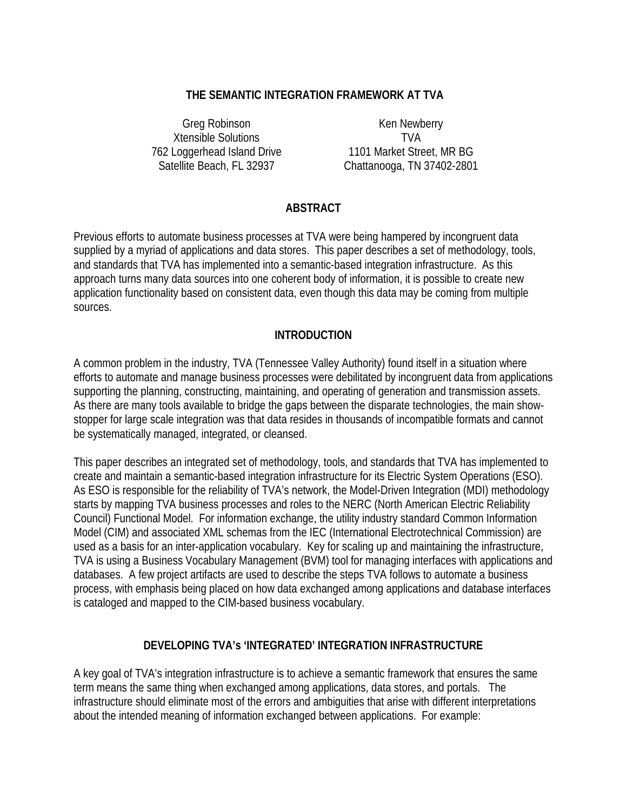## **THE SEMANTIC INTEGRATION FRAMEWORK AT TVA**

Greg Robinson Ken Newberry Xtensible Solutions TVA 762 Loggerhead Island Drive 1101 Market Street, MR BG

Satellite Beach, FL 32937 Chattanooga, TN 37402-2801

## **ABSTRACT**

Previous efforts to automate business processes at TVA were being hampered by incongruent data supplied by a myriad of applications and data stores. This paper describes a set of methodology, tools, and standards that TVA has implemented into a semantic-based integration infrastructure. As this approach turns many data sources into one coherent body of information, it is possible to create new application functionality based on consistent data, even though this data may be coming from multiple sources.

## **INTRODUCTION**

A common problem in the industry, TVA (Tennessee Valley Authority) found itself in a situation where efforts to automate and manage business processes were debilitated by incongruent data from applications supporting the planning, constructing, maintaining, and operating of generation and transmission assets. As there are many tools available to bridge the gaps between the disparate technologies, the main showstopper for large scale integration was that data resides in thousands of incompatible formats and cannot be systematically managed, integrated, or cleansed.

This paper describes an integrated set of methodology, tools, and standards that TVA has implemented to create and maintain a semantic-based integration infrastructure for its Electric System Operations (ESO). As ESO is responsible for the reliability of TVA's network, the Model-Driven Integration (MDI) methodology starts by mapping TVA business processes and roles to the NERC (North American Electric Reliability Council) Functional Model. For information exchange, the utility industry standard Common Information Model (CIM) and associated XML schemas from the IEC (International Electrotechnical Commission) are used as a basis for an inter-application vocabulary. Key for scaling up and maintaining the infrastructure, TVA is using a Business Vocabulary Management (BVM) tool for managing interfaces with applications and databases. A few project artifacts are used to describe the steps TVA follows to automate a business process, with emphasis being placed on how data exchanged among applications and database interfaces is cataloged and mapped to the CIM-based business vocabulary.

## **DEVELOPING TVA's 'INTEGRATED' INTEGRATION INFRASTRUCTURE**

A key goal of TVA's integration infrastructure is to achieve a semantic framework that ensures the same term means the same thing when exchanged among applications, data stores, and portals. The infrastructure should eliminate most of the errors and ambiguities that arise with different interpretations about the intended meaning of information exchanged between applications. For example: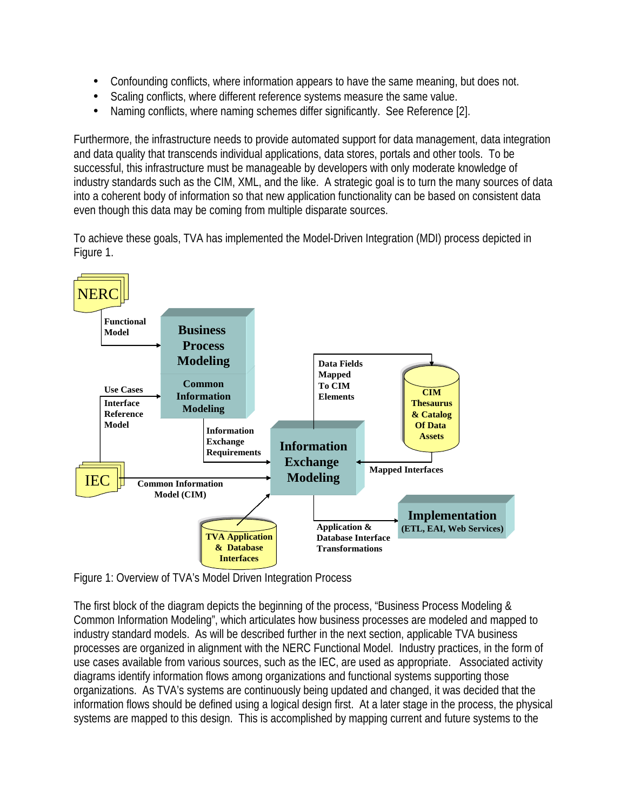- Confounding conflicts, where information appears to have the same meaning, but does not.
- Scaling conflicts, where different reference systems measure the same value.
- Naming conflicts, where naming schemes differ significantly. See Reference [2].

Furthermore, the infrastructure needs to provide automated support for data management, data integration and data quality that transcends individual applications, data stores, portals and other tools. To be successful, this infrastructure must be manageable by developers with only moderate knowledge of industry standards such as the CIM, XML, and the like. A strategic goal is to turn the many sources of data into a coherent body of information so that new application functionality can be based on consistent data even though this data may be coming from multiple disparate sources.

To achieve these goals, TVA has implemented the Model-Driven Integration (MDI) process depicted in Figure 1.



Figure 1: Overview of TVA's Model Driven Integration Process

The first block of the diagram depicts the beginning of the process, "Business Process Modeling & Common Information Modeling", which articulates how business processes are modeled and mapped to industry standard models. As will be described further in the next section, applicable TVA business processes are organized in alignment with the NERC Functional Model. Industry practices, in the form of use cases available from various sources, such as the IEC, are used as appropriate. Associated activity diagrams identify information flows among organizations and functional systems supporting those organizations. As TVA's systems are continuously being updated and changed, it was decided that the information flows should be defined using a logical design first. At a later stage in the process, the physical systems are mapped to this design. This is accomplished by mapping current and future systems to the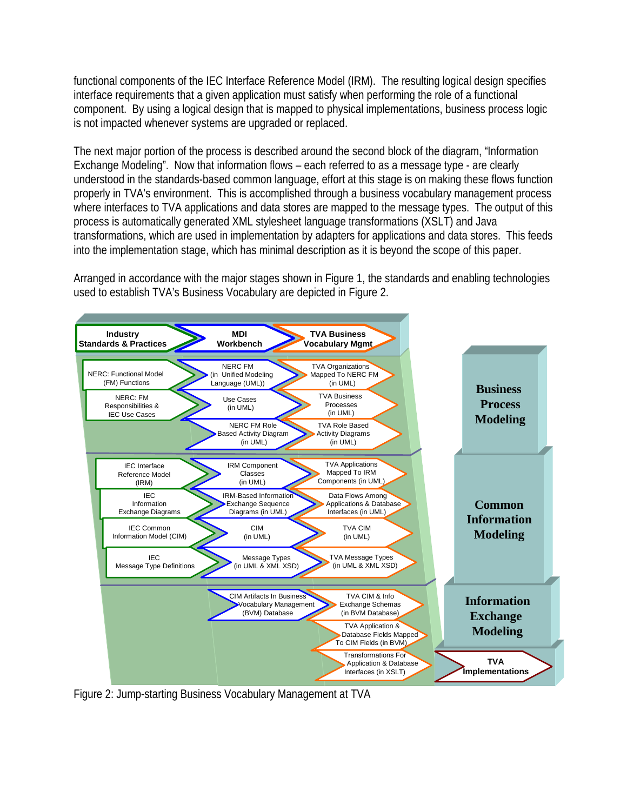functional components of the IEC Interface Reference Model (IRM). The resulting logical design specifies interface requirements that a given application must satisfy when performing the role of a functional component. By using a logical design that is mapped to physical implementations, business process logic is not impacted whenever systems are upgraded or replaced.

The next major portion of the process is described around the second block of the diagram, "Information Exchange Modeling". Now that information flows – each referred to as a message type - are clearly understood in the standards-based common language, effort at this stage is on making these flows function properly in TVA's environment. This is accomplished through a business vocabulary management process where interfaces to TVA applications and data stores are mapped to the message types. The output of this process is automatically generated XML stylesheet language transformations (XSLT) and Java transformations, which are used in implementation by adapters for applications and data stores. This feeds into the implementation stage, which has minimal description as it is beyond the scope of this paper.

Arranged in accordance with the major stages shown in Figure 1, the standards and enabling technologies used to establish TVA's Business Vocabulary are depicted in Figure 2.



Figure 2: Jump-starting Business Vocabulary Management at TVA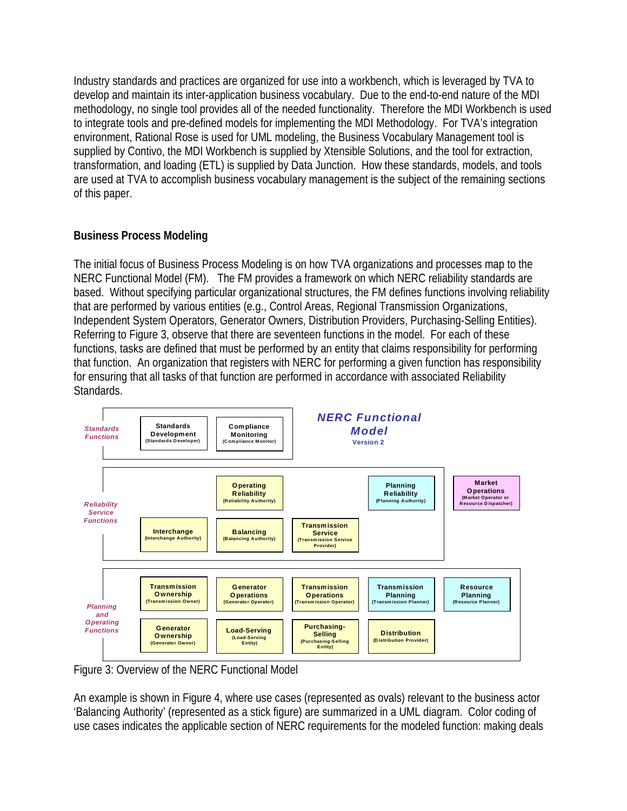Industry standards and practices are organized for use into a workbench, which is leveraged by TVA to develop and maintain its inter-application business vocabulary. Due to the end-to-end nature of the MDI methodology, no single tool provides all of the needed functionality. Therefore the MDI Workbench is used to integrate tools and pre-defined models for implementing the MDI Methodology. For TVA's integration environment, Rational Rose is used for UML modeling, the Business Vocabulary Management tool is supplied by Contivo, the MDI Workbench is supplied by Xtensible Solutions, and the tool for extraction, transformation, and loading (ETL) is supplied by Data Junction. How these standards, models, and tools are used at TVA to accomplish business vocabulary management is the subject of the remaining sections of this paper.

## **Business Process Modeling**

The initial focus of Business Process Modeling is on how TVA organizations and processes map to the NERC Functional Model (FM). The FM provides a framework on which NERC reliability standards are based. Without specifying particular organizational structures, the FM defines functions involving reliability that are performed by various entities (e.g., Control Areas, Regional Transmission Organizations, Independent System Operators, Generator Owners, Distribution Providers, Purchasing-Selling Entities). Referring to Figure 3, observe that there are seventeen functions in the model. For each of these functions, tasks are defined that must be performed by an entity that claims responsibility for performing that function. An organization that registers with NERC for performing a given function has responsibility for ensuring that all tasks of that function are performed in accordance with associated Reliability Standards.



 Figure 3: Overview of the NERC Functional Model

An example is shown in Figure 4, where use cases (represented as ovals) relevant to the business actor 'Balancing Authority' (represented as a stick figure) are summarized in a UML diagram. Color coding of use cases indicates the applicable section of NERC requirements for the modeled function: making deals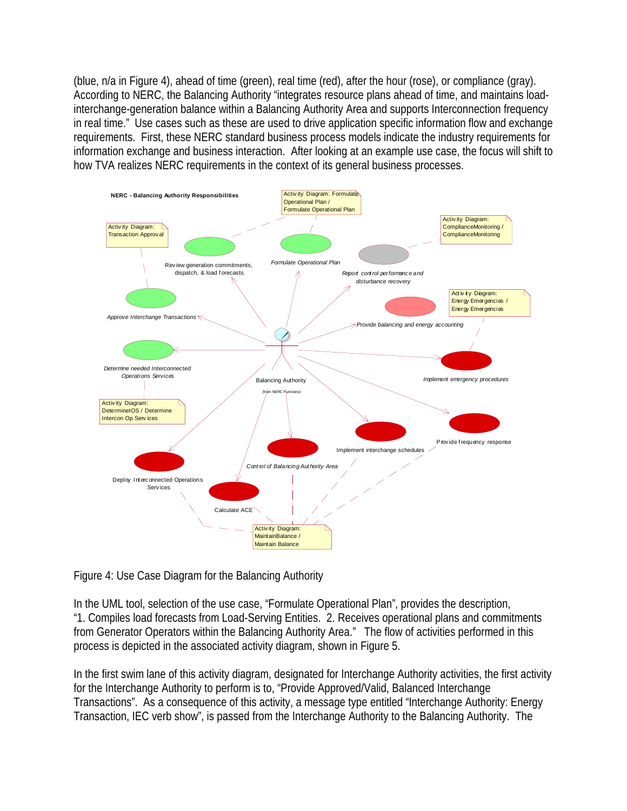(blue, n/a in Figure 4), ahead of time (green), real time (red), after the hour (rose), or compliance (gray). According to NERC, the Balancing Authority "integrates resource plans ahead of time, and maintains loadinterchange-generation balance within a Balancing Authority Area and supports Interconnection frequency in real time." Use cases such as these are used to drive application specific information flow and exchange requirements. First, these NERC standard business process models indicate the industry requirements for information exchange and business interaction. After looking at an example use case, the focus will shift to how TVA realizes NERC requirements in the context of its general business processes.



Figure 4: Use Case Diagram for the Balancing Authority

In the UML tool, selection of the use case, "Formulate Operational Plan", provides the description, "1. Compiles load forecasts from Load-Serving Entities. 2. Receives operational plans and commitments from Generator Operators within the Balancing Authority Area." The flow of activities performed in this process is depicted in the associated activity diagram, shown in Figure 5.

In the first swim lane of this activity diagram, designated for Interchange Authority activities, the first activity for the Interchange Authority to perform is to, "Provide Approved/Valid, Balanced Interchange Transactions". As a consequence of this activity, a message type entitled "Interchange Authority: Energy Transaction, IEC verb show", is passed from the Interchange Authority to the Balancing Authority. The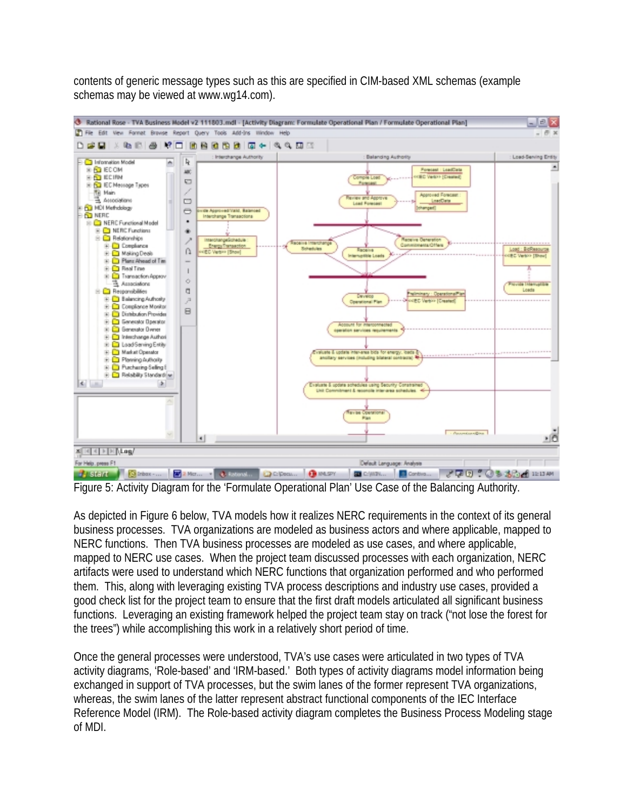contents of generic message types such as this are specified in CIM-based XML schemas (example schemas may be viewed at www.wg14.com).



Figure 5: Activity Diagram for the 'Formulate Operational Plan' Use Case of the Balancing Authority.

As depicted in Figure 6 below, TVA models how it realizes NERC requirements in the context of its general business processes. TVA organizations are modeled as business actors and where applicable, mapped to NERC functions. Then TVA business processes are modeled as use cases, and where applicable, mapped to NERC use cases. When the project team discussed processes with each organization, NERC artifacts were used to understand which NERC functions that organization performed and who performed them. This, along with leveraging existing TVA process descriptions and industry use cases, provided a good check list for the project team to ensure that the first draft models articulated all significant business functions. Leveraging an existing framework helped the project team stay on track ("not lose the forest for the trees") while accomplishing this work in a relatively short period of time.

Once the general processes were understood, TVA's use cases were articulated in two types of TVA activity diagrams, 'Role-based' and 'IRM-based.' Both types of activity diagrams model information being exchanged in support of TVA processes, but the swim lanes of the former represent TVA organizations, whereas, the swim lanes of the latter represent abstract functional components of the IEC Interface Reference Model (IRM). The Role-based activity diagram completes the Business Process Modeling stage of MDI.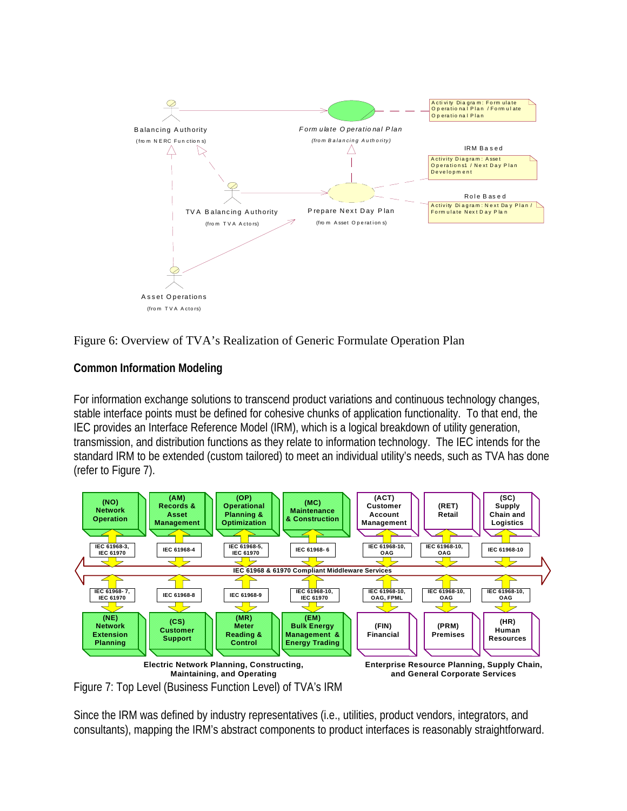

Figure 6: Overview of TVA's Realization of Generic Formulate Operation Plan

# **Common Information Modeling**

For information exchange solutions to transcend product variations and continuous technology changes, stable interface points must be defined for cohesive chunks of application functionality. To that end, the IEC provides an Interface Reference Model (IRM), which is a logical breakdown of utility generation, transmission, and distribution functions as they relate to information technology. The IEC intends for the standard IRM to be extended (custom tailored) to meet an individual utility's needs, such as TVA has done (refer to Figure 7).



Figure 7: Top Level (Business Function Level) of TVA's IRM

Since the IRM was defined by industry representatives (i.e., utilities, product vendors, integrators, and consultants), mapping the IRM's abstract components to product interfaces is reasonably straightforward.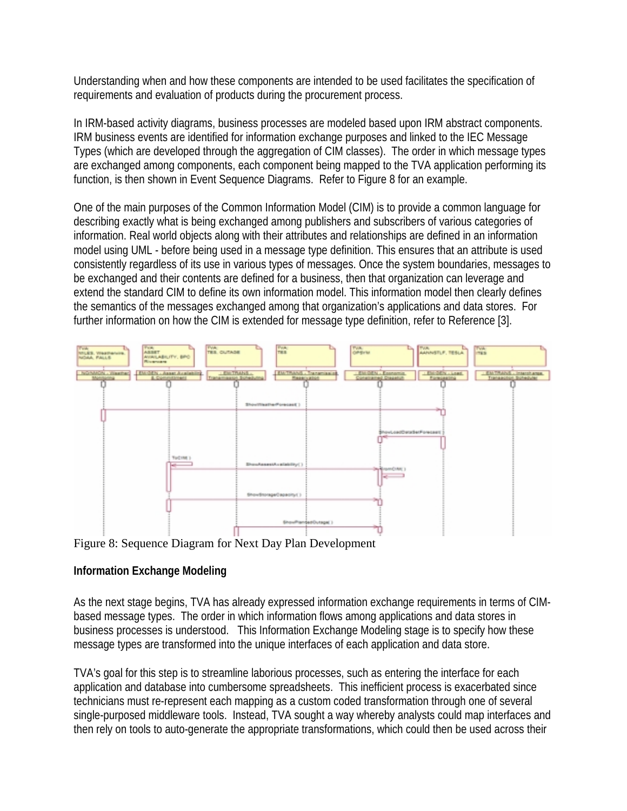Understanding when and how these components are intended to be used facilitates the specification of requirements and evaluation of products during the procurement process.

In IRM-based activity diagrams, business processes are modeled based upon IRM abstract components. IRM business events are identified for information exchange purposes and linked to the IEC Message Types (which are developed through the aggregation of CIM classes). The order in which message types are exchanged among components, each component being mapped to the TVA application performing its function, is then shown in Event Sequence Diagrams. Refer to Figure 8 for an example.

One of the main purposes of the Common Information Model (CIM) is to provide a common language for describing exactly what is being exchanged among publishers and subscribers of various categories of information. Real world objects along with their attributes and relationships are defined in an information model using UML - before being used in a message type definition. This ensures that an attribute is used consistently regardless of its use in various types of messages. Once the system boundaries, messages to be exchanged and their contents are defined for a business, then that organization can leverage and extend the standard CIM to define its own information model. This information model then clearly defines the semantics of the messages exchanged among that organization's applications and data stores. For further information on how the CIM is extended for message type definition, refer to Reference [3].



Figure 8: Sequence Diagram for Next Day Plan Development

## **Information Exchange Modeling**

As the next stage begins, TVA has already expressed information exchange requirements in terms of CIMbased message types. The order in which information flows among applications and data stores in business processes is understood. This Information Exchange Modeling stage is to specify how these message types are transformed into the unique interfaces of each application and data store.

TVA's goal for this step is to streamline laborious processes, such as entering the interface for each application and database into cumbersome spreadsheets. This inefficient process is exacerbated since technicians must re-represent each mapping as a custom coded transformation through one of several single-purposed middleware tools. Instead, TVA sought a way whereby analysts could map interfaces and then rely on tools to auto-generate the appropriate transformations, which could then be used across their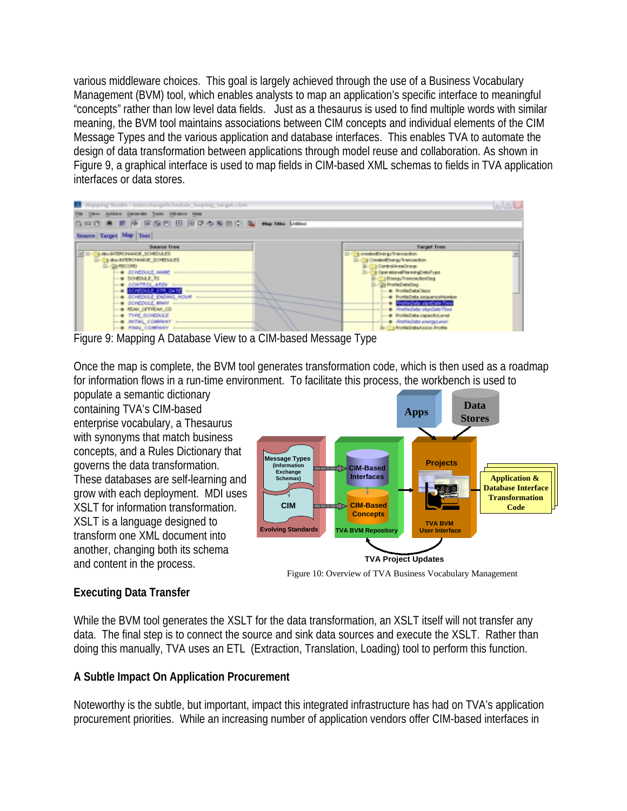various middleware choices. This goal is largely achieved through the use of a Business Vocabulary Management (BVM) tool, which enables analysts to map an application's specific interface to meaningful "concepts" rather than low level data fields. Just as a thesaurus is used to find multiple words with similar meaning, the BVM tool maintains associations between CIM concepts and individual elements of the CIM Message Types and the various application and database interfaces. This enables TVA to automate the design of data transformation between applications through model reuse and collaboration. As shown in Figure 9, a graphical interface is used to map fields in CIM-based XML schemas to fields in TVA application interfaces or data stores.



Figure 9: Mapping A Database View to a CIM-based Message Type

Once the map is complete, the BVM tool generates transformation code, which is then used as a roadmap for information flows in a run-time environment. To facilitate this process, the workbench is used to

populate a semantic dictionary containing TVA's CIM-based enterprise vocabulary, a Thesaurus with synonyms that match business concepts, and a Rules Dictionary that governs the data transformation. These databases are self-learning and grow with each deployment. MDI uses XSLT for information transformation. XSLT is a language designed to transform one XML document into another, changing both its schema and content in the process.



Figure 10: Overview of TVA Business Vocabulary Management

## **Executing Data Transfer**

While the BVM tool generates the XSLT for the data transformation, an XSLT itself will not transfer any data. The final step is to connect the source and sink data sources and execute the XSLT. Rather than doing this manually, TVA uses an ETL (Extraction, Translation, Loading) tool to perform this function.

## **A Subtle Impact On Application Procurement**

Noteworthy is the subtle, but important, impact this integrated infrastructure has had on TVA's application procurement priorities. While an increasing number of application vendors offer CIM-based interfaces in